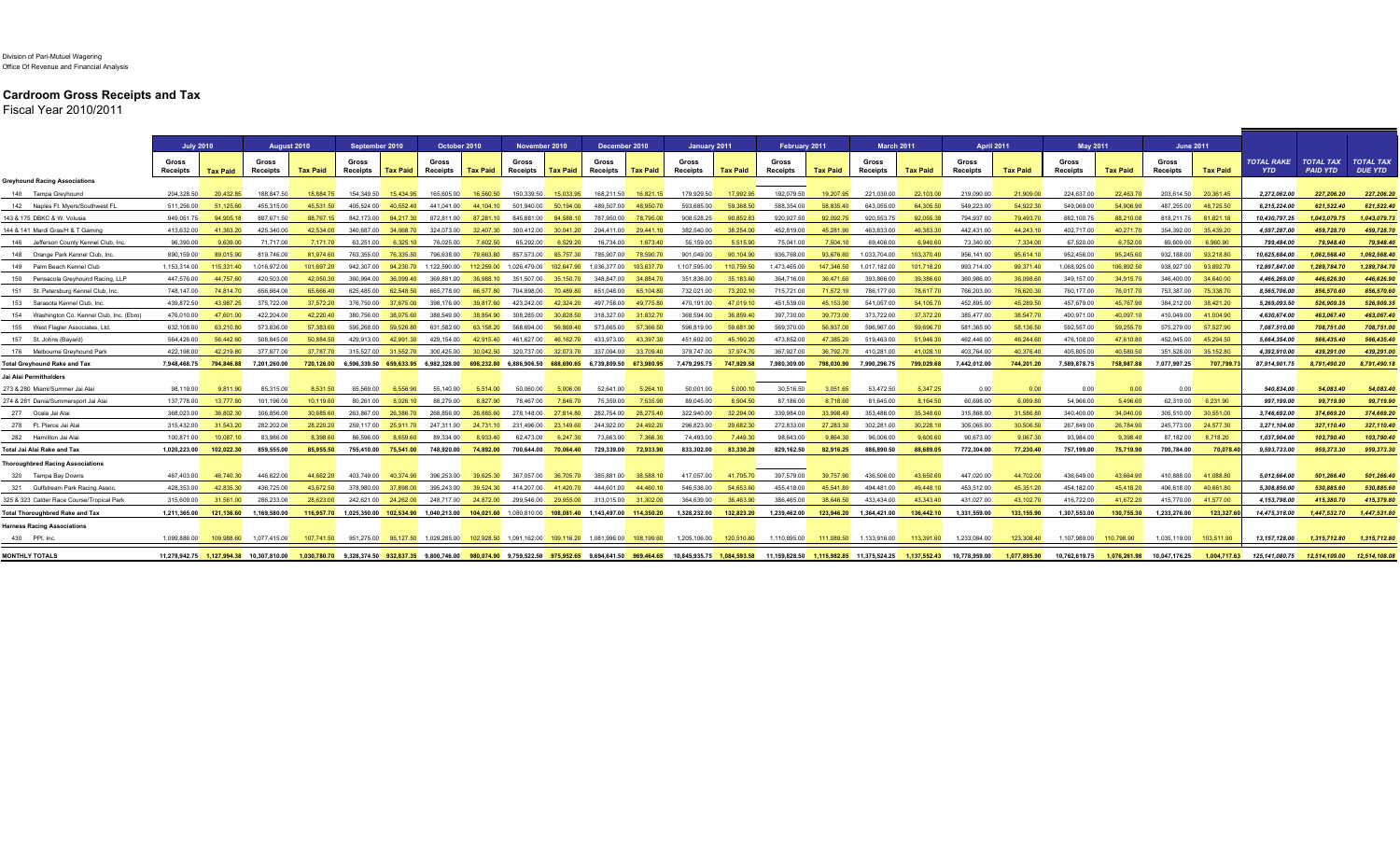## **Cardroom Gross Receipts and Tax**

Fiscal Year 2010/2011

|                                             | <b>July 2010</b>  |                 | August 2010                |                 | September 2010                                                                                  |                      | October 2010                      |                 | November 2010                                                  |                      | December 2010        |                      | January 2011                                                                                                                            |                 | February 2011            |                 | <b>March 2011</b> |                 | April 2011               |                 | <b>May 2011</b>   |                 | <b>June 2011</b>  |                 |                                 |                                     |                                    |
|---------------------------------------------|-------------------|-----------------|----------------------------|-----------------|-------------------------------------------------------------------------------------------------|----------------------|-----------------------------------|-----------------|----------------------------------------------------------------|----------------------|----------------------|----------------------|-----------------------------------------------------------------------------------------------------------------------------------------|-----------------|--------------------------|-----------------|-------------------|-----------------|--------------------------|-----------------|-------------------|-----------------|-------------------|-----------------|---------------------------------|-------------------------------------|------------------------------------|
|                                             | Gross<br>Receipts | <b>Tax Paid</b> | Gross<br>Receipts          | <b>Tax Paid</b> | Gross<br>Receipts                                                                               | <b>Tax Paid</b>      | Gross<br>Receipts                 | <b>Tax Paid</b> | Gross<br>Receipts                                              | Tax Paid             | Gross<br>Receipts    | <b>Tax Paid</b>      | Gross<br>Receipts                                                                                                                       | <b>Tax Paid</b> | Gross<br><b>Receipts</b> | <b>Tax Paid</b> | Gross<br>Receipts | <b>Tax Paid</b> | Gross<br><b>Receipts</b> | <b>Tax Paid</b> | Gross<br>Receipts | <b>Tax Paid</b> | Gross<br>Receipts | <b>Tax Paid</b> | <b>TOTAL RAKE</b><br><b>YTD</b> | <b>TOTAL TAX</b><br><b>PAID YTD</b> | <b>TOTAL TAX</b><br><b>DUE YTD</b> |
| <b>Greyhound Racing Associations</b>        |                   |                 |                            |                 |                                                                                                 |                      |                                   |                 |                                                                |                      |                      |                      |                                                                                                                                         |                 |                          |                 |                   |                 |                          |                 |                   |                 |                   |                 |                                 |                                     |                                    |
| 140 Tampa Greyhound                         | 204.328.50        | 20.432.85       | 188.847.50                 | 18.884.75       | 154,349.50                                                                                      | 15.434.95            | 165,605.00                        | 16.560.50       | 150.339.50                                                     | 15.033.95            | 168,211.50           | 16.821.15            | 179,929.50                                                                                                                              | 17,992.95       | 192,079.50               | 19.207.95       | 221,030.00        | 22.103.00       | 219,090.00               | 21,909.00       | 224,637.00        | 22.463.70       | 203.614.50        | 20,361.45       | 2,272,062.00                    | 227.206.20                          | 227,206.20                         |
| 142 Naples Ft. Myers/Southwest Fl           | 511.256.00        | 51.125.60       | 455.315.00                 | 45.531.50       | 405.524.00                                                                                      | 40.552.40            | 441.041.00                        | 44,104.10       | 501.940.00                                                     | 50.194.00            | 489.507.00           | 48.950.70            | 593.685.00                                                                                                                              | 59.368.50       | 588.354.00               | 58.835.40       | 643.055.00        | 64.305.50       | 549.223.00               | 54.922.30       | 549.069.00        | 54.906.90       | 487.255.00        | 48.725.50       | 6.215.224.00                    | 621.522.40                          | 621.522.40                         |
| 143 & 175 DBKC & W. Volusia                 | 949,051.75        | 94.905.18       | 887,671.50                 | 88.767.15       | 842,173.00                                                                                      | 84.217.30            | 872,811.00                        | 87,281.10       | 845.881.00                                                     | 84.588.10            | 787,950.00           | 78,795.00            | 908,528.25                                                                                                                              | 90,852.83       | 920,927.50               | 92,092.75       | 920,553.75        | 92,055.38       | 794,937.00               | 79,493.70       | 882,100.75        | 88,210.08       | 818,211.75        | 81,821.18       | 10,430,797.25                   | 1,043,079.75                        | 1,043,079.73                       |
| 144 & 141 Mardi Gras/H & T Gaming           | 413.632.00        | 41.363.20       | 425.340.00                 | 42.534.00       |                                                                                                 | 340.687.00 34.068.70 | 324.073.00                        | 32.407.30       | 300.412.00                                                     | 30.041.20            |                      | 294.411.00 29.441.10 | 382.540.00                                                                                                                              | 38.254.00       | 452.819.00               | 45.281.90       | 463.833.00        | 46.383.30       | 442.431.00               | 44.243.10       | 402.717.00        | 40.271.70       | 354,392.00        | 35.439.20       | 4.597.287.00                    | 459.728.70                          | 459,728.70                         |
| 146 Jefferson County Kennel Club, Inc       | 96,390.00         | 9.639.00        | 71,717.00                  | 7.171.70        | 63.251.00                                                                                       | 6.325.10             | 76,025.00                         | 7.602.50        | 65,292.00                                                      | 6,529.20             | 16,734.00            | 1.673.40             | 55.159.00                                                                                                                               | 5.515.90        | 75.041.00                | 7.504.10        | 69,406.00         | 6.940.60        | 73,340.00                | 7.334.00        | 67,520.00         | 6,752.00        | 69,609.00         | 6.960.90        | 799,484.00                      | 79.948.40                           | 79,948.40                          |
| 148 Orange Park Kennel Club, Inc.           | 890.159.00        | 89.015.90       | 819.746.00                 | 81.974.60       | 763.355.00                                                                                      | 76.335.50            | 796.638.00                        | 79.663.80       | 857.573.00                                                     | 85.757.30            | 785.907.00           | 78.590.70            | 901.049.00                                                                                                                              | 90.104.90       | 936,768.00               | 93.676.80       | 1.033.704.00      | 103.370.40      | 956.141.00               | 95.614.10       | 952.456.00        | 95.245.60       | 932.188.00        | 93.218.80       | 10.625.684.00                   | 1.062.568.40                        | 1.062.568.40                       |
| 149 Palm Beach Kennel Club                  | 1.153.314.00      | 115,331.40      | 1.016.972.00               | 101 697 20      |                                                                                                 |                      | 942.307.00 94.230.70 1.122.590.00 |                 | 112.259.00 1.026.479.00                                        | 102 647 90           | 1.036.377.00         | 103 637 70           | 1.107.595.00                                                                                                                            | 110 759 50      | 147346500                | 147,346.50      | 1.017.182.00      | 101.718.20      | 993.714.00               | 99.371.40       | 1.068.925.00      | 106.892.50      | 938.927.00        | 93.892.70       | 12,897,847.00                   | 1.289.784.70                        | 1.289.784.70                       |
| 150 Pensacola Grevhound Racing, LLP         | 447.576.00        | 44.757.60       | 420,503.00                 | 42.050.30       |                                                                                                 | 360.994.00 36.099.40 | 369.881.00                        | 36,988.10       |                                                                | 351.507.00 35.150.70 | 348.847.00           | 34 884 70            | 351 836 00                                                                                                                              | 35 183 60       | 364.716.00               | 36,471.60       | 393.866.00        | 39.386.60       | 360,986.00               | 36.098.60       | 349.157.00        | 34.915.70       | 346,400.00        | 34,640.00       | 4,466,269.00                    | 446.626.90                          | 446,626.90                         |
| 151 St. Petersburg Kennel Club, Inc.        | 748.147.00        | 74.814.70       | 656.664.00                 | 65.666.40       | 625.485.00                                                                                      | 62.548.50            | 665.778.00                        | 66.577.80       | 704.898.00                                                     | 70.489.80            | 651.048.00           | 65.104.80            | 732.021.00                                                                                                                              | 73,202.10       | 715.721.00               | 71,572.10       | 786.177.00        | 78.617.70       | 766,203.00               | 76.620.30       | 760.177.00        | 76.017.70       | 753.387.00        | 75.338.70       | 8,565,706.00                    | 856,570.60                          | 856,570.60                         |
| 153 Sarasota Kennel Club, Inc.              | 439.872.50        | 43.987.25       | 375,722.00                 | 37.572.20       | 376.750.00 37.675.00                                                                            |                      | 398.176.00                        | 39,817.60       | 423.242.00                                                     | 42,324.20            |                      | 497.758.00 49.775.80 | 470.191.00                                                                                                                              | 47.019.10       | 451.539.00               | 45.153.90       | 541.057.00        | 54.105.70       | 452.895.00               | 45.289.50       | 457.679.00        | 45.767.90       | 384.212.00        | 38.421.20       | 5.269.093.50                    | 526,909.35                          | 526,909.35                         |
| 154 Washington Co. Kennel Club, Inc. (Ebro) | 476.010.00        | 47.601.00       | 422,204.00                 | 42.220.40       | 380.756.00                                                                                      | 38.075.60            | 388.549.00                        | 38.854.90       | 308,285.00                                                     | 30,828.50            | 318,327.00           | 31.832.70            | 368.594.00                                                                                                                              | 36,859.40       | 397.730.00               | 39,773.00       | 373.722.00        | 37,372.20       | 385,477.00               | 38.547.70       | 400.971.00        | 40.097.10       | 410.049.00        | 41.004.90       | 4,630,674.00                    | 463.067.40                          | 463,067.40                         |
| 155 West Flagler Associates, Ltd            | 632,108.00        | 63,210.80       | 573,836.00                 | 57.383.60       | 595.268.00                                                                                      | 59.526.80            | 631.582.00                        | 63.158.20       | 568.694.00                                                     | 56.869.40            | 573.665.00           | 57.366.50            | 596.819.00                                                                                                                              | 59.681.90       | 569,370.00               | 56.937.00       | 596,967.00        | 59.696.70       | 581.365.00               | 58.136.50       | 592,557.00        | 59,255.70       | 575,279.00        | 57.527.90       | 7,087,510.00                    | 708,751.00                          | 708,751.00                         |
| 157 St. Johns (Bayard                       | 564.426.00        | 56 442 60       | 508.845.00                 | 50.884.50       | 429 913 00                                                                                      | 42 991 30            | 429 154 00                        | 42,915.40       | 461 627 00                                                     | 46.162.70            | 433.973.00           | 43.397.30            | 451.602.00                                                                                                                              | 45.160.20       | 473 852 00               | 47 385 20       | 519 463 00        | 51.946.30       | 462 446 00               | 46.244.60       | 476,108.00        | 47.610.80       | 452.945.00        | 45.294.50       | 5.664.354.00                    | 566.435.40                          | 566,435,40                         |
| 176 Melbourne Greyhound Parl                | 422.198.00        | 42.219.80       | 377,877.00                 | 37.787.70       | 315.527.00                                                                                      | 31.552.70            | 300.425.00                        | 30.042.50       | 320.737.00                                                     | 32.073.70            | 337.094.00           | 33.709.40            | 379,747.00                                                                                                                              | 37 974 70       | 367.927.00               | 36.792.70       | 410.281.00        | 41.028.10       | 403.764.00               | 40.376.40       | 405.805.00        | 40.580.50       | 351.528.00        | 35.152.80       | 4,392,910.00                    | 439.291.00                          | 439.291.00                         |
| <b>Fotal Grevhound Rake and Tax</b>         | 7.948.468.75      | 794.846.88      | 7.201.260.00               |                 |                                                                                                 |                      |                                   |                 |                                                                |                      |                      |                      | 720,126.00 6,596,339.50 659,633.95 6,982,328.00 698,232.80 6,886,906.50 688,690.65 6,739,809.50 673,980.95 7,479,295.75                 | 747.929.58      | 7.980.309.00             | 798.030.90      | 7.990.296.75      | 799.029.68      | 7.442.012.00             | 744.201.20      | 7.589.878.75      | 758,987.88      | 7.077.997.25      | 707.799         | 87.914.901.75                   | 8.791.490.20                        | 8.791.490.18                       |
| Jai Alai Permitholders                      |                   |                 |                            |                 |                                                                                                 |                      |                                   |                 |                                                                |                      |                      |                      |                                                                                                                                         |                 |                          |                 |                   |                 |                          |                 |                   |                 |                   |                 |                                 |                                     |                                    |
| 273 & 280 Miami/Summer Jai Alai             | 98.119.00         | 9.811.90        | 85.315.00                  | 8.531.50        | 65.569.00                                                                                       | 6.556.90             | 55.140.00                         | 5.514.00        | 50.060.00                                                      | 5.006.00             | 52.641.00            | 5.264.10             | 50.001.00                                                                                                                               | 5.000.10        | 30.516.50                | 3.051.65        | 53.472.50         | 5.347.25        | 0.00                     | 0.00            | 0.00              | 0.00            | 0.00              |                 | 540.834.00                      | 54.083.40                           | 54,083.40                          |
| 274 & 281 Dania/Summersport Jai Alai        | 137,778.00        | 13,777.80       | 101.196.00                 | 10.119.60       | 80.261.00                                                                                       | 8.026.10             | 88.279.00                         | 8.827.90        | 78.467.00                                                      | 7.846.70             | 75.359.00            | 7.535.90             | 89.045.00                                                                                                                               | 8.904.50        | 87,186,00                | 8.718.60        | 81.645.00         | 8.164.50        | 60.698.00                | 6.069.80        | 54.966.00         | 5.496.60        | 62.319.00         | 6.231.90        | 997.199.00                      | 99.719.90                           | 99,719.90                          |
| 277 Ocala Jai Ala                           | 368.023.00        | 36.802.30       | 306.856.00                 | 30.685.60       | 263.867.00                                                                                      | 26,386,70            | 268,856.00                        | 26,885.60       | 278.148.00                                                     | 27.814.80            | 282.754.00           | 28,275.40            | 322,940.00                                                                                                                              | 32.294.00       | 339.984.00               | 33.998.40       | 353.486.00        | 35,348.60       | 315,868.00               | 31.586.80       | 340,400.00        | 34.040.00       | 305.510.00        | 30.551.00       | 3,746,692.00                    | 374,669.20                          | 374,669.20                         |
| 278 Ft. Pierce Jai Ala                      | 315,432.00        | 31.543.20       | 282.202.00                 | 28,220,20       | 259.117.00                                                                                      | 25.911.70            | 247.311.00                        | 24.731.10       | 231,496.00                                                     | 23.149.60            | 244.922.00           | 24.492.20            | 296.823.00                                                                                                                              | 29.682.30       | 272.833.00               | 27,283,30       | 302.281.00        | 30.228.10       | 305.065.00               | 30,506.50       | 267.849.00        | 26,784.90       | 245.773.00        | 24.577.30       | 3.271.104.00                    | 327,110,40                          | 327.110.40                         |
| 282 Hamiliton Jai Ala                       | 100.871.00        | 10.087.10       | 83.986.00                  | 8.398.60        | 86.596.00                                                                                       | 8 659 60             | 89.334.00                         | 8.933.40        | 62,473.00                                                      | 6.247.30             | 73.663.00            | 7.366.30             | 74 493 00                                                                                                                               | 7 449 30        | 98.643.00                | 9.864.30        | 96,006.00         | 9.600.60        | 90,673.00                | 9.067.30        | 93.984.00         | 9.398.40        | 87,182.00         | 8,718.20        | 1,037,904.00                    | 103,790.40                          | 103,790.40                         |
| Total Jai Alai Rake and Tax                 | 1.020.223.00      | 102.022.30      | 859.555.00                 | 85,955,50       |                                                                                                 |                      | 755.410.00 75.541.00 748.920.00   |                 | 74.892.00 700.644.00 70.064.40                                 |                      | 729.339.00 72.933.90 |                      | 833.302.00                                                                                                                              | 83,330,20       | 829.162.50               | 82.916.25       | 886.890.50        | 88.689.05       | 772.304.00               | 77.230.40       | 757.199.00        | 75,719.90       | 700.784.00        | 70.078.4        | 9.593.733.00                    | 959.373.30                          | 959.373.30                         |
| <b>Thoroughbred Racing Associations</b>     |                   |                 |                            |                 |                                                                                                 |                      |                                   |                 |                                                                |                      |                      |                      |                                                                                                                                         |                 |                          |                 |                   |                 |                          |                 |                   |                 |                   |                 |                                 |                                     |                                    |
| 320 Tampa Bay Downs                         | 467,403.00        | 46,740.30       | 446,622.00                 | 44.662.20       |                                                                                                 | 403,749.00 40,374.90 | 396,253.00                        | 39,625.30       | 367,057.00                                                     | 36,705.70            | 385,881.00           | 38,588.10            | 417,057.00                                                                                                                              | 41,705.70       | 397,579.00               | 39,757.90       | 436,506.00        | 43,650.60       | 447,020.00               | 44,702.00       | 436,649.00        | 43,664.90       | 410,888.00        | 41,088.80       | 5,012,664.00                    | 501,266.40                          | 501,266.40                         |
| 321 Gulfstream Park Racing Assoc            | 428.353.00        | 42.835.30       | 436,725.00                 | 43.672.50       | 378,980.00                                                                                      | 37.898.00            | 395.243.00                        | 39.524.30       | 414.207.00                                                     | 41.420.70            | 444.601.00           | 44,460.10            | 546.536.00                                                                                                                              | 54.653.60       | 455.418.00               | 45.541.80       | 494.481.00        | 49.448.10       | 453.512.00               | 45.351.20       | 454.182.00        | 45.418.20       | 406.618.00        | 40.661.80       | 5.308.856.00                    | 530.885.60                          | 530.885.60                         |
| 325 & 323 Calder Race Course/Tropical Park  | 315,609.00        | 31.561.00       | 286,233.00                 | 28.623.00       | 242,621.00                                                                                      | 24.262.00            | 248,717.00                        | 24,872.00       | 299,546.00                                                     | 29.955.00            | 313,015.00           | 31.302.00            | 364.639.00                                                                                                                              | 36,463.90       | 386.465.00               | 38.646.50       | 433.434.00        | 43.343.40       | 431,027.00               | 43.102.70       | 416,722.00        | 41,672.20       | 415.770.00        | 41.577.00       | 4,153,798.00                    | 415.380.70                          | 415,379.80                         |
| <b>Total Thoroughbred Rake and Tax</b>      | 1.211.365.00      | 121.136.60      | 1.169.580.00               | 116,957.70      | 1.025.350.00 102.534.90 1.040.213.00 104.021.60 1.080.810.00 108.081.40 1.143.497.00 114.350.20 |                      |                                   |                 |                                                                |                      |                      |                      | 1.328.232.00                                                                                                                            | 132.823.20      | 1.239.462.00             | 123,946.20      | 1.364.421.00      | 136.442.10      | 1.331.559.00             | 133.155.90      | 1.307.553.00      | 130.755.30      | 1.233.276.00      | 123.327.        | 14.475.318.00                   | 1.447.532.70                        | 1.447.531.80                       |
| <b>Harness Racing Associations</b>          |                   |                 |                            |                 |                                                                                                 |                      |                                   |                 |                                                                |                      |                      |                      |                                                                                                                                         |                 |                          |                 |                   |                 |                          |                 |                   |                 |                   |                 |                                 |                                     |                                    |
| 430 PPI, Inc.                               | 1.099.886.00      | 109.988.60      | 1.077.415.00               | 107.741.50      |                                                                                                 |                      | 951.275.00 95.127.50 1.029.285.00 |                 | 102.928.50  1.091.162.00  109.116.20  1.081.996.00  108.199.60 |                      |                      |                      | 1.205.106.00                                                                                                                            | 120,510.60      | 1.110.895.00             | 111.089.50      | 1.133.916.00      | 113.391.60      | 1.233.084.00             | 123,308.40      | 1.107.989.00      | 110,798.90      | 1.035.119.00      | 103.511.90      | 13.157.128.00                   | 1.315.712.80                        | 1.315.712.80                       |
| <b>MONTHLY TOTALS</b>                       | 11.279.942.75     |                 | 1.127.994.38 10.307.810.00 |                 |                                                                                                 |                      |                                   |                 |                                                                |                      |                      |                      | 1.030.780.70 9.328.374.50 932.837.35 9.800.746.00 980.074.90 9.759.522.50 975.952.65 9.694.641.50 969.464.65 10.845.935.75 1.084.593.58 |                 |                          |                 |                   | 1.137.552.43    | 10.778.959.00            | 1.077.895.90    | 10.762.619.75     | 1.076.261.98    | 10.047.176.25     | 1.004.717.63    | 125.141.080.75                  | 12.514.109.00                       | 12.514.108.08                      |

<u> 1989 - Johann Stein, martin sa</u>